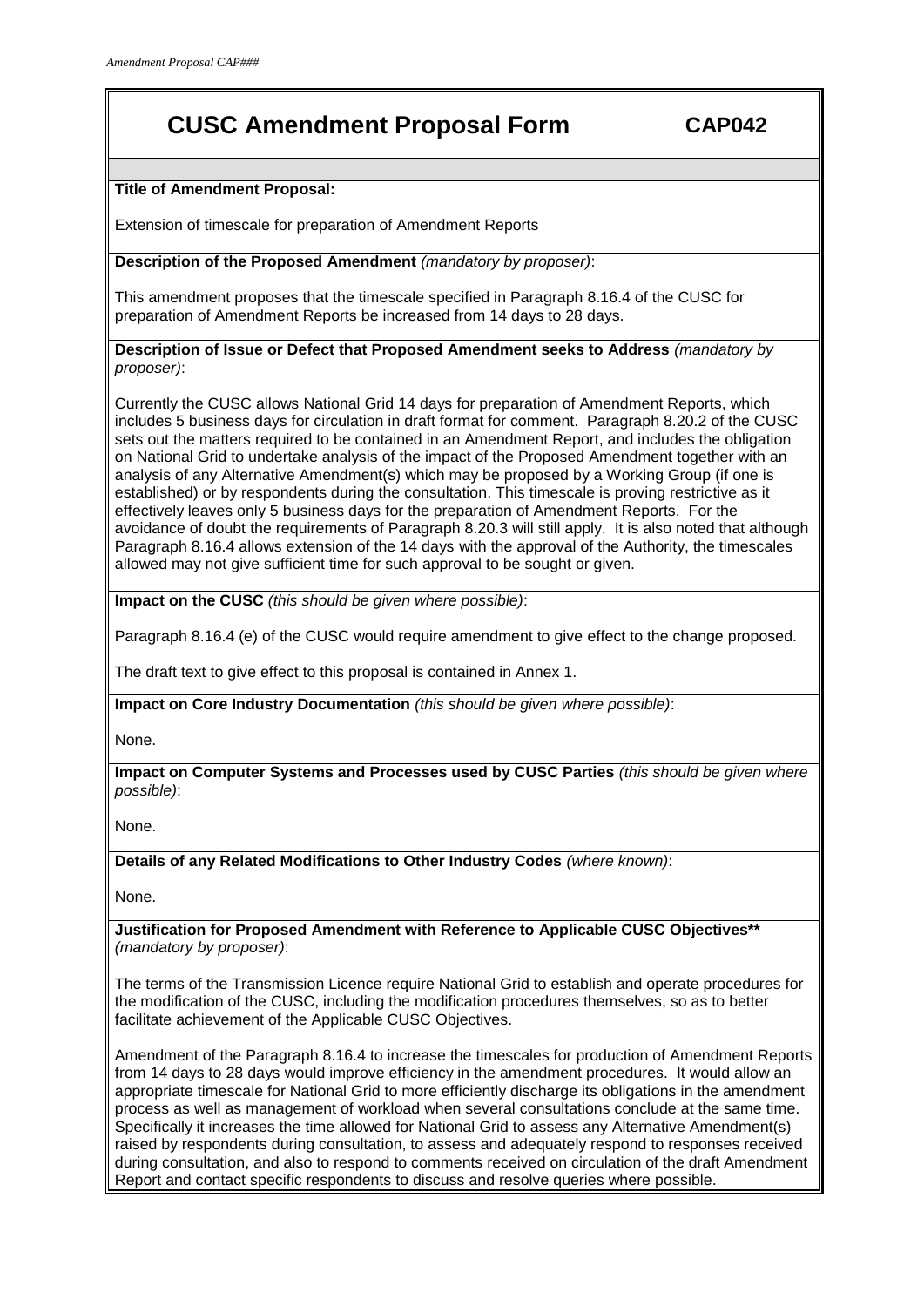## **CUSC Amendment Proposal Form CAP042**

**Title of Amendment Proposal:**

Extension of timescale for preparation of Amendment Reports

**Description of the Proposed Amendment** *(mandatory by proposer)*:

This amendment proposes that the timescale specified in Paragraph 8.16.4 of the CUSC for preparation of Amendment Reports be increased from 14 days to 28 days.

**Description of Issue or Defect that Proposed Amendment seeks to Address** *(mandatory by proposer)*:

Currently the CUSC allows National Grid 14 days for preparation of Amendment Reports, which includes 5 business days for circulation in draft format for comment. Paragraph 8.20.2 of the CUSC sets out the matters required to be contained in an Amendment Report, and includes the obligation on National Grid to undertake analysis of the impact of the Proposed Amendment together with an analysis of any Alternative Amendment(s) which may be proposed by a Working Group (if one is established) or by respondents during the consultation. This timescale is proving restrictive as it effectively leaves only 5 business days for the preparation of Amendment Reports. For the avoidance of doubt the requirements of Paragraph 8.20.3 will still apply. It is also noted that although Paragraph 8.16.4 allows extension of the 14 days with the approval of the Authority, the timescales allowed may not give sufficient time for such approval to be sought or given.

**Impact on the CUSC** *(this should be given where possible)*:

Paragraph 8.16.4 (e) of the CUSC would require amendment to give effect to the change proposed.

The draft text to give effect to this proposal is contained in Annex 1.

**Impact on Core Industry Documentation** *(this should be given where possible)*:

None.

**Impact on Computer Systems and Processes used by CUSC Parties** *(this should be given where possible)*:

None.

**Details of any Related Modifications to Other Industry Codes** *(where known)*:

None.

**Justification for Proposed Amendment with Reference to Applicable CUSC Objectives\*\***  *(mandatory by proposer)*:

The terms of the Transmission Licence require National Grid to establish and operate procedures for the modification of the CUSC, including the modification procedures themselves, so as to better facilitate achievement of the Applicable CUSC Objectives.

Amendment of the Paragraph 8.16.4 to increase the timescales for production of Amendment Reports from 14 days to 28 days would improve efficiency in the amendment procedures. It would allow an appropriate timescale for National Grid to more efficiently discharge its obligations in the amendment process as well as management of workload when several consultations conclude at the same time. Specifically it increases the time allowed for National Grid to assess any Alternative Amendment(s) raised by respondents during consultation, to assess and adequately respond to responses received during consultation, and also to respond to comments received on circulation of the draft Amendment Report and contact specific respondents to discuss and resolve queries where possible.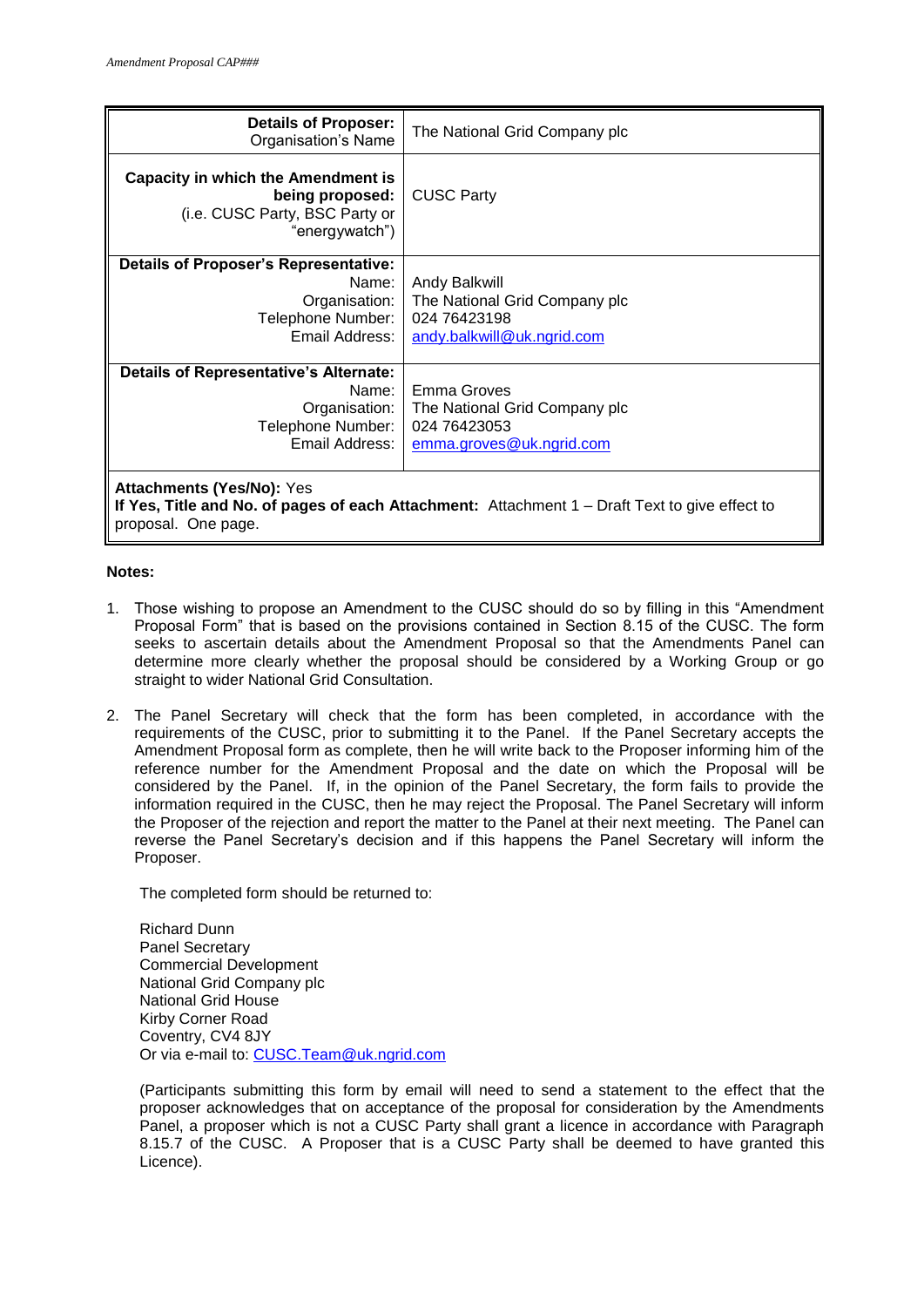| <b>Details of Proposer:</b><br>Organisation's Name                                                                                                        | The National Grid Company plc                                                                |
|-----------------------------------------------------------------------------------------------------------------------------------------------------------|----------------------------------------------------------------------------------------------|
| <b>Capacity in which the Amendment is</b><br>being proposed:<br>(i.e. CUSC Party, BSC Party or<br>"energywatch")                                          | <b>CUSC Party</b>                                                                            |
| <b>Details of Proposer's Representative:</b><br>Name:<br>Organisation:<br>Telephone Number:<br>Email Address:                                             | Andy Balkwill<br>The National Grid Company plc<br>024 76423198<br>andy.balkwill@uk.ngrid.com |
| <b>Details of Representative's Alternate:</b><br>Name:<br>Organisation:<br>Telephone Number:<br>Email Address:                                            | Emma Groves<br>The National Grid Company plc<br>024 76423053<br>emma.groves@uk.ngrid.com     |
| <b>Attachments (Yes/No): Yes</b><br>If Yes, Title and No. of pages of each Attachment: Attachment 1 – Draft Text to give effect to<br>proposal. One page. |                                                                                              |

## **Notes:**

- 1. Those wishing to propose an Amendment to the CUSC should do so by filling in this "Amendment Proposal Form" that is based on the provisions contained in Section 8.15 of the CUSC. The form seeks to ascertain details about the Amendment Proposal so that the Amendments Panel can determine more clearly whether the proposal should be considered by a Working Group or go straight to wider National Grid Consultation.
- 2. The Panel Secretary will check that the form has been completed, in accordance with the requirements of the CUSC, prior to submitting it to the Panel. If the Panel Secretary accepts the Amendment Proposal form as complete, then he will write back to the Proposer informing him of the reference number for the Amendment Proposal and the date on which the Proposal will be considered by the Panel. If, in the opinion of the Panel Secretary, the form fails to provide the information required in the CUSC, then he may reject the Proposal. The Panel Secretary will inform the Proposer of the rejection and report the matter to the Panel at their next meeting. The Panel can reverse the Panel Secretary's decision and if this happens the Panel Secretary will inform the Proposer.

The completed form should be returned to:

Richard Dunn Panel Secretary Commercial Development National Grid Company plc National Grid House Kirby Corner Road Coventry, CV4 8JY Or via e-mail to: [CUSC.Team@uk.ngrid.com](mailto:CUSC.Team@uk.ngrid.com)

(Participants submitting this form by email will need to send a statement to the effect that the proposer acknowledges that on acceptance of the proposal for consideration by the Amendments Panel, a proposer which is not a CUSC Party shall grant a licence in accordance with Paragraph 8.15.7 of the CUSC. A Proposer that is a CUSC Party shall be deemed to have granted this Licence).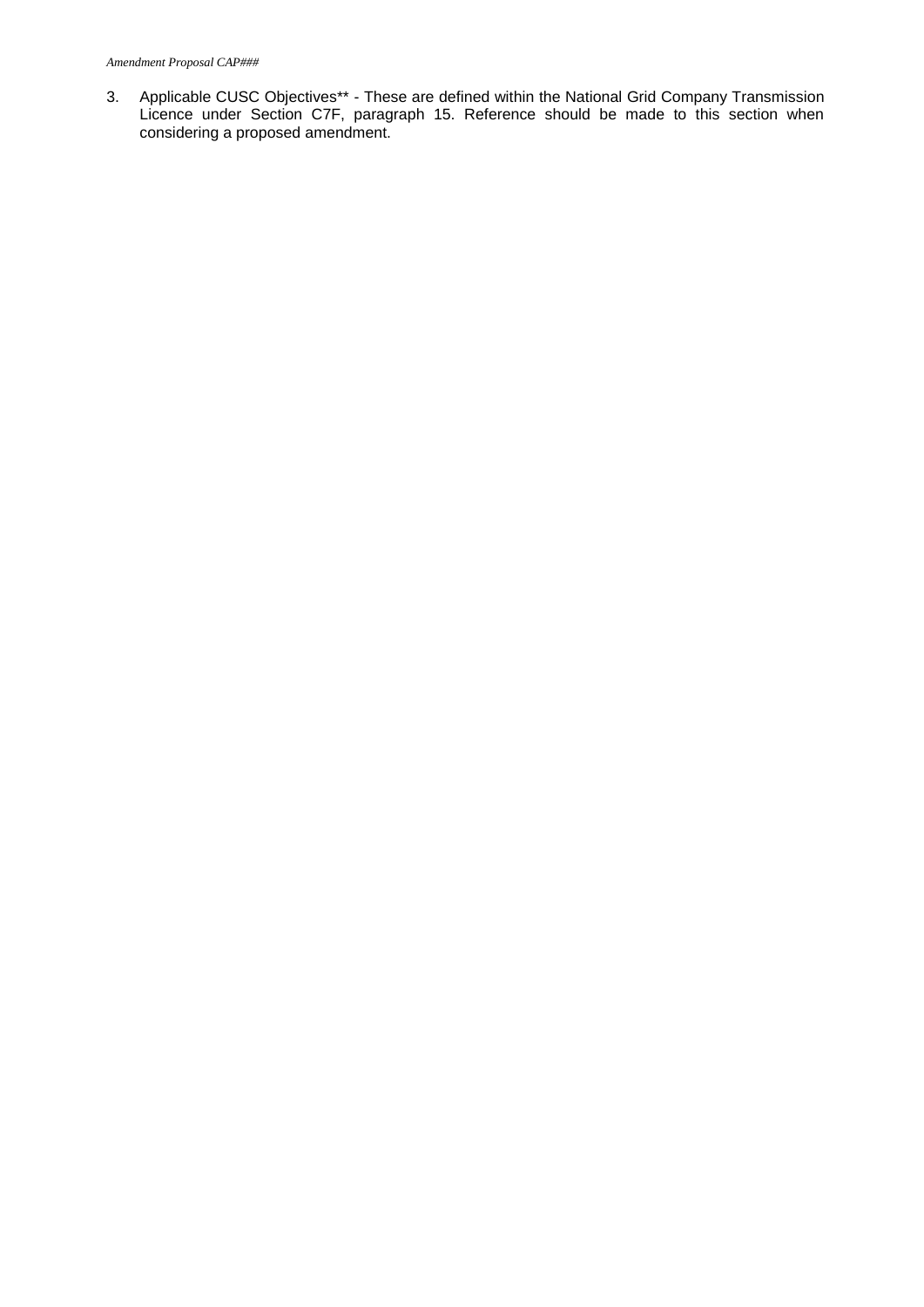3. Applicable CUSC Objectives\*\* - These are defined within the National Grid Company Transmission Licence under Section C7F, paragraph 15. Reference should be made to this section when considering a proposed amendment.